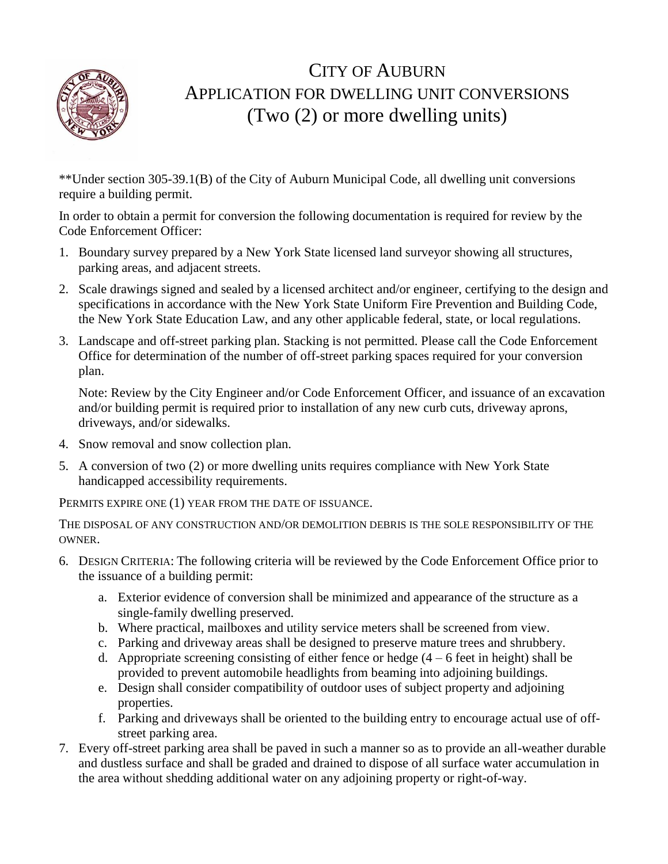

## CITY OF AUBURN APPLICATION FOR DWELLING UNIT CONVERSIONS (Two (2) or more dwelling units)

\*\*Under section 305-39.1(B) of the City of Auburn Municipal Code, all dwelling unit conversions require a building permit.

In order to obtain a permit for conversion the following documentation is required for review by the Code Enforcement Officer:

- 1. Boundary survey prepared by a New York State licensed land surveyor showing all structures, parking areas, and adjacent streets.
- 2. Scale drawings signed and sealed by a licensed architect and/or engineer, certifying to the design and specifications in accordance with the New York State Uniform Fire Prevention and Building Code, the New York State Education Law, and any other applicable federal, state, or local regulations.
- 3. Landscape and off-street parking plan. Stacking is not permitted. Please call the Code Enforcement Office for determination of the number of off-street parking spaces required for your conversion plan.

Note: Review by the City Engineer and/or Code Enforcement Officer, and issuance of an excavation and/or building permit is required prior to installation of any new curb cuts, driveway aprons, driveways, and/or sidewalks.

- 4. Snow removal and snow collection plan.
- 5. A conversion of two (2) or more dwelling units requires compliance with New York State handicapped accessibility requirements.

PERMITS EXPIRE ONE (1) YEAR FROM THE DATE OF ISSUANCE.

THE DISPOSAL OF ANY CONSTRUCTION AND/OR DEMOLITION DEBRIS IS THE SOLE RESPONSIBILITY OF THE OWNER.

- 6. DESIGN CRITERIA: The following criteria will be reviewed by the Code Enforcement Office prior to the issuance of a building permit:
	- a. Exterior evidence of conversion shall be minimized and appearance of the structure as a single-family dwelling preserved.
	- b. Where practical, mailboxes and utility service meters shall be screened from view.
	- c. Parking and driveway areas shall be designed to preserve mature trees and shrubbery.
	- d. Appropriate screening consisting of either fence or hedge  $(4 6$  feet in height) shall be provided to prevent automobile headlights from beaming into adjoining buildings.
	- e. Design shall consider compatibility of outdoor uses of subject property and adjoining properties.
	- f. Parking and driveways shall be oriented to the building entry to encourage actual use of offstreet parking area.
- 7. Every off-street parking area shall be paved in such a manner so as to provide an all-weather durable and dustless surface and shall be graded and drained to dispose of all surface water accumulation in the area without shedding additional water on any adjoining property or right-of-way.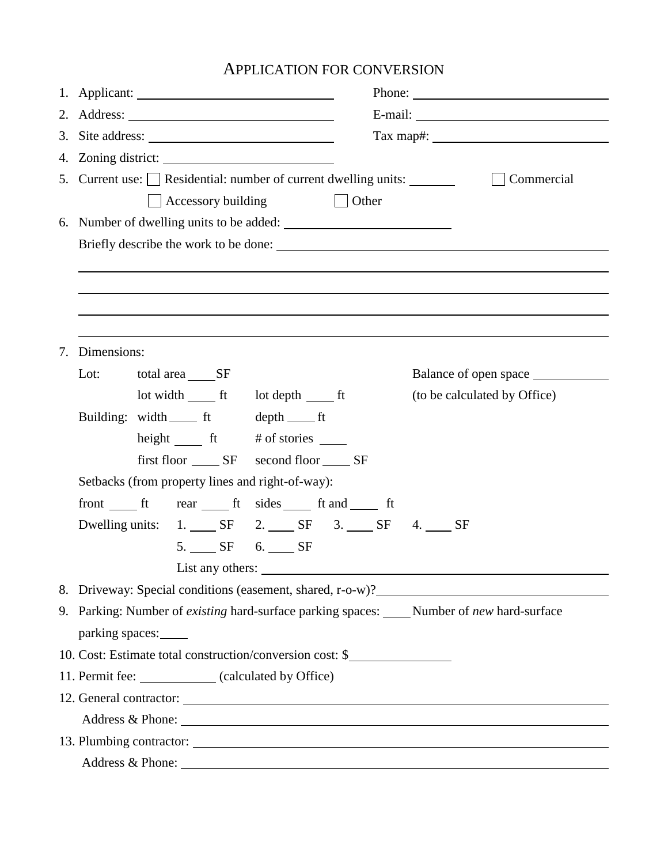## APPLICATION FOR CONVERSION

|  |                                                                                              |               | Phone: $\frac{1}{\sqrt{1-\frac{1}{2}}\sqrt{1-\frac{1}{2}}\sqrt{1-\frac{1}{2}}\sqrt{1-\frac{1}{2}}\sqrt{1-\frac{1}{2}}\sqrt{1-\frac{1}{2}}\sqrt{1-\frac{1}{2}}\sqrt{1-\frac{1}{2}}\sqrt{1-\frac{1}{2}}\sqrt{1-\frac{1}{2}}\sqrt{1-\frac{1}{2}}\sqrt{1-\frac{1}{2}}\sqrt{1-\frac{1}{2}}\sqrt{1-\frac{1}{2}}\sqrt{1-\frac{1}{2}}\sqrt{1-\frac{1}{2}}\sqrt{1-\frac{1}{2}}\sqrt{1-\frac{1}{2}}\sqrt{1-\frac{1}{2$ |  |  |  |  |  |
|--|----------------------------------------------------------------------------------------------|---------------|--------------------------------------------------------------------------------------------------------------------------------------------------------------------------------------------------------------------------------------------------------------------------------------------------------------------------------------------------------------------------------------------------------------|--|--|--|--|--|
|  |                                                                                              |               |                                                                                                                                                                                                                                                                                                                                                                                                              |  |  |  |  |  |
|  | 3. Site address:                                                                             |               | Tax map#: $\qquad \qquad$                                                                                                                                                                                                                                                                                                                                                                                    |  |  |  |  |  |
|  |                                                                                              |               |                                                                                                                                                                                                                                                                                                                                                                                                              |  |  |  |  |  |
|  | 5. Current use: $\Box$ Residential: number of current dwelling units: $\Box$                 |               | Commercial                                                                                                                                                                                                                                                                                                                                                                                                   |  |  |  |  |  |
|  | $\Box$ Accessory building                                                                    | $\vert$ Other |                                                                                                                                                                                                                                                                                                                                                                                                              |  |  |  |  |  |
|  | 6. Number of dwelling units to be added:                                                     |               |                                                                                                                                                                                                                                                                                                                                                                                                              |  |  |  |  |  |
|  |                                                                                              |               |                                                                                                                                                                                                                                                                                                                                                                                                              |  |  |  |  |  |
|  |                                                                                              |               |                                                                                                                                                                                                                                                                                                                                                                                                              |  |  |  |  |  |
|  |                                                                                              |               |                                                                                                                                                                                                                                                                                                                                                                                                              |  |  |  |  |  |
|  |                                                                                              |               |                                                                                                                                                                                                                                                                                                                                                                                                              |  |  |  |  |  |
|  |                                                                                              |               |                                                                                                                                                                                                                                                                                                                                                                                                              |  |  |  |  |  |
|  | 7. Dimensions:                                                                               |               |                                                                                                                                                                                                                                                                                                                                                                                                              |  |  |  |  |  |
|  | Lot:<br>total area SF                                                                        |               | Balance of open space                                                                                                                                                                                                                                                                                                                                                                                        |  |  |  |  |  |
|  |                                                                                              |               | (to be calculated by Office)                                                                                                                                                                                                                                                                                                                                                                                 |  |  |  |  |  |
|  | Building: width ft depth ft                                                                  |               |                                                                                                                                                                                                                                                                                                                                                                                                              |  |  |  |  |  |
|  |                                                                                              |               |                                                                                                                                                                                                                                                                                                                                                                                                              |  |  |  |  |  |
|  | first floor _______ SF second floor ______ SF                                                |               |                                                                                                                                                                                                                                                                                                                                                                                                              |  |  |  |  |  |
|  | Setbacks (from property lines and right-of-way):                                             |               |                                                                                                                                                                                                                                                                                                                                                                                                              |  |  |  |  |  |
|  | front from ft rear ft sides ft and ft                                                        |               |                                                                                                                                                                                                                                                                                                                                                                                                              |  |  |  |  |  |
|  | Dwelling units: 1. SF 2. SF 3. SF 4. SF                                                      |               |                                                                                                                                                                                                                                                                                                                                                                                                              |  |  |  |  |  |
|  | 5. SF 6. SF                                                                                  |               |                                                                                                                                                                                                                                                                                                                                                                                                              |  |  |  |  |  |
|  | List any others:                                                                             |               |                                                                                                                                                                                                                                                                                                                                                                                                              |  |  |  |  |  |
|  | 8. Driveway: Special conditions (easement, shared, r-o-w)?                                   |               | <u> 1980 - Jan Stein Stein Stein Stein Stein Stein Stein Stein Stein Stein Stein Stein Stein Stein Stein Stein S</u>                                                                                                                                                                                                                                                                                         |  |  |  |  |  |
|  | 9. Parking: Number of existing hard-surface parking spaces: _____ Number of new hard-surface |               |                                                                                                                                                                                                                                                                                                                                                                                                              |  |  |  |  |  |
|  | parking spaces:                                                                              |               |                                                                                                                                                                                                                                                                                                                                                                                                              |  |  |  |  |  |
|  | 10. Cost: Estimate total construction/conversion cost: \$                                    |               |                                                                                                                                                                                                                                                                                                                                                                                                              |  |  |  |  |  |
|  | 11. Permit fee: (calculated by Office)                                                       |               |                                                                                                                                                                                                                                                                                                                                                                                                              |  |  |  |  |  |
|  |                                                                                              |               |                                                                                                                                                                                                                                                                                                                                                                                                              |  |  |  |  |  |
|  |                                                                                              |               |                                                                                                                                                                                                                                                                                                                                                                                                              |  |  |  |  |  |
|  | 13. Plumbing contractor:                                                                     |               |                                                                                                                                                                                                                                                                                                                                                                                                              |  |  |  |  |  |
|  |                                                                                              |               |                                                                                                                                                                                                                                                                                                                                                                                                              |  |  |  |  |  |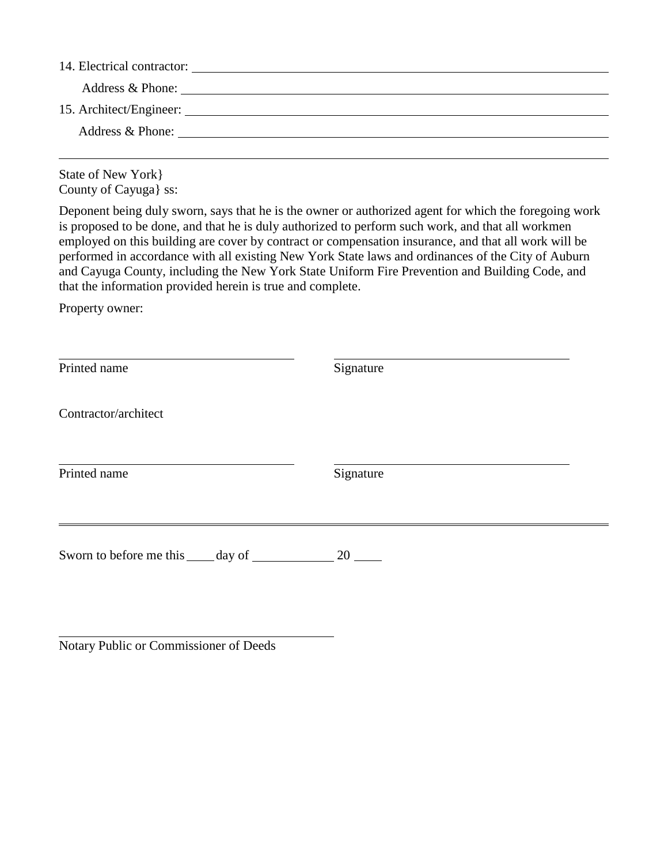| 14. Electrical contractor:<br><u> 1980 - Jan Samuel Barbara, margaret e populazion del control del control del control del control de la provi</u> |                                                                                                                       |  |  |  |  |
|----------------------------------------------------------------------------------------------------------------------------------------------------|-----------------------------------------------------------------------------------------------------------------------|--|--|--|--|
| Address & Phone:                                                                                                                                   | <u>and the state of the state of the state of the state of the state of the state of the state of the state of th</u> |  |  |  |  |
|                                                                                                                                                    |                                                                                                                       |  |  |  |  |
| Address & Phone:                                                                                                                                   |                                                                                                                       |  |  |  |  |
|                                                                                                                                                    |                                                                                                                       |  |  |  |  |

State of New York} County of Cayuga} ss:

Deponent being duly sworn, says that he is the owner or authorized agent for which the foregoing work is proposed to be done, and that he is duly authorized to perform such work, and that all workmen employed on this building are cover by contract or compensation insurance, and that all work will be performed in accordance with all existing New York State laws and ordinances of the City of Auburn and Cayuga County, including the New York State Uniform Fire Prevention and Building Code, and that the information provided herein is true and complete.

Property owner:

| Printed name                                | Signature                     |  |  |
|---------------------------------------------|-------------------------------|--|--|
| Contractor/architect                        |                               |  |  |
| Printed name                                | Signature                     |  |  |
| Sworn to before me this <u>equal</u> day of | $20$ $\overline{\phantom{0}}$ |  |  |

Notary Public or Commissioner of Deeds